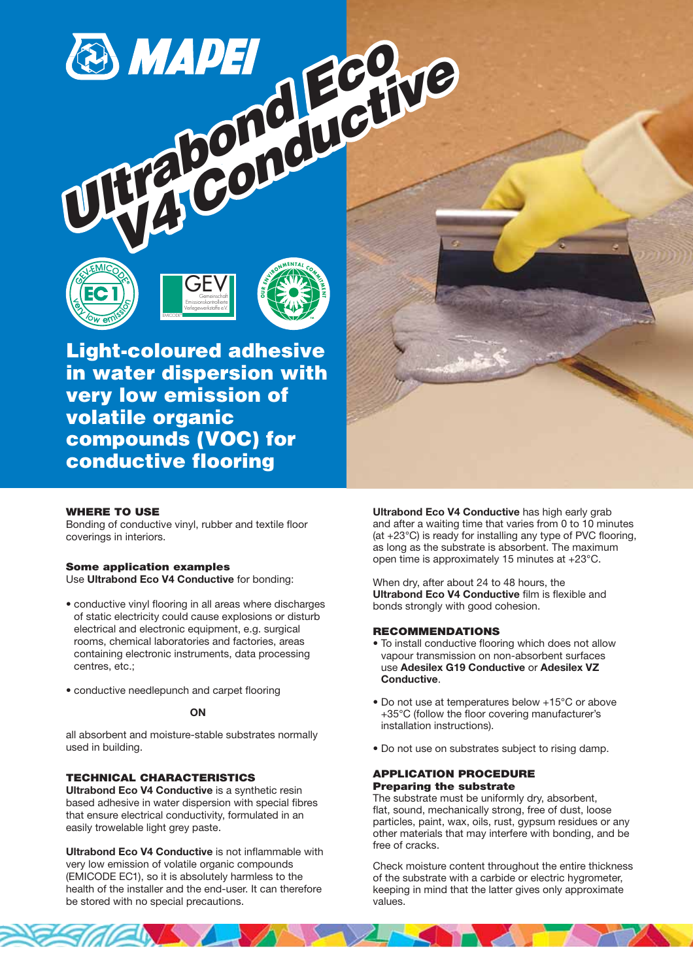# **ECONDED ECONDED Property Maconduction**







**Light-coloured adhesive in water dispersion with very low emission of volatile organic compounds (VOC) for conductive flooring**

# **WHERE TO USE**

Bonding of conductive vinyl, rubber and textile floor coverings in interiors.

# **Some application examples**

Use **Ultrabond Eco V4 Conductive** for bonding:

- conductive vinyl flooring in all areas where discharges of static electricity could cause explosions or disturb electrical and electronic equipment, e.g. surgical rooms, chemical laboratories and factories, areas containing electronic instruments, data processing centres, etc.;
- conductive needlepunch and carpet flooring

# **ON**

all absorbent and moisture-stable substrates normally used in building.

# **TECHNICAL CHARACTERISTICS**

**Ultrabond Eco V4 Conductive** is a synthetic resin based adhesive in water dispersion with special fibres that ensure electrical conductivity, formulated in an easily trowelable light grey paste.

**Ultrabond Eco V4 Conductive** is not inflammable with very low emission of volatile organic compounds (EMICODE EC1), so it is absolutely harmless to the health of the installer and the end-user. It can therefore be stored with no special precautions.

**Ultrabond Eco V4 Conductive** has high early grab and after a waiting time that varies from 0 to 10 minutes (at +23°C) is ready for installing any type of PVC flooring, as long as the substrate is absorbent. The maximum open time is approximately 15 minutes at +23°C.

When dry, after about 24 to 48 hours, the **Ultrabond Eco V4 Conductive** film is flexible and bonds strongly with good cohesion.

# **RECOMMENDATIONS**

- To install conductive flooring which does not allow vapour transmission on non-absorbent surfaces use **Adesilex G19 Conductive** or **Adesilex VZ Conductive**.
- Do not use at temperatures below +15°C or above +35°C (follow the floor covering manufacturer's installation instructions).
- Do not use on substrates subject to rising damp.

### **APPLICATION PROCEDURE Preparing the substrate**

The substrate must be uniformly dry, absorbent, flat, sound, mechanically strong, free of dust, loose particles, paint, wax, oils, rust, gypsum residues or any other materials that may interfere with bonding, and be free of cracks.

Check moisture content throughout the entire thickness of the substrate with a carbide or electric hygrometer, keeping in mind that the latter gives only approximate values.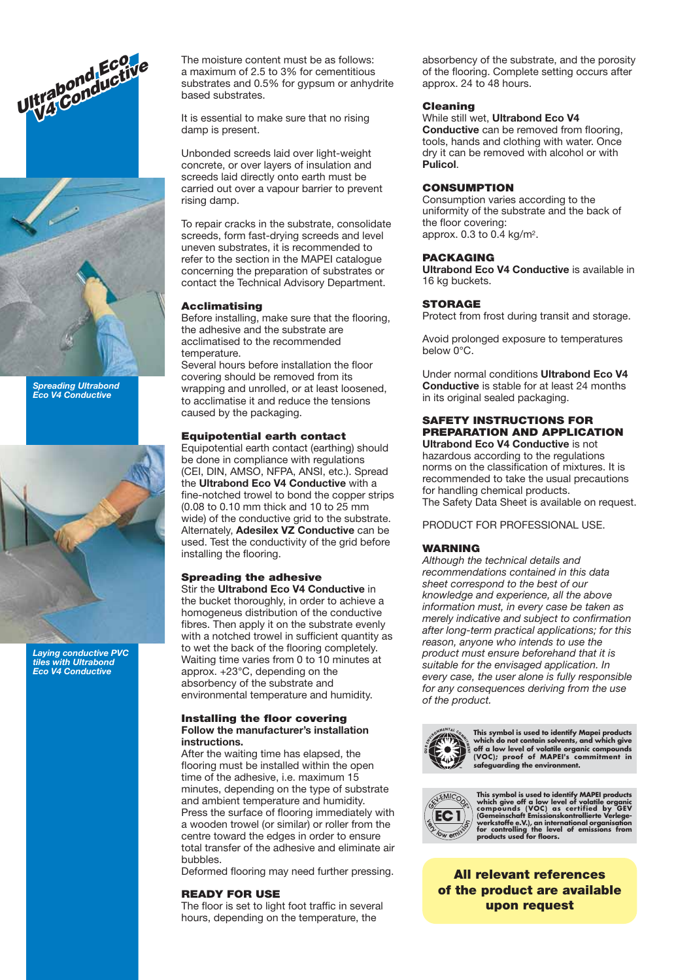



*Spreading Ultrabond Eco V4 Conductive*



*Laying conductive PVC tiles with Ultrabond Eco V4 Conductive*

a maximum of 2.5 to 3% for cementitious substrates and 0.5% for gypsum or anhydrite based substrates.

It is essential to make sure that no rising damp is present.

Unbonded screeds laid over light-weight concrete, or over layers of insulation and screeds laid directly onto earth must be carried out over a vapour barrier to prevent rising damp.

To repair cracks in the substrate, consolidate screeds, form fast-drying screeds and level uneven substrates, it is recommended to refer to the section in the MAPEI catalogue concerning the preparation of substrates or contact the Technical Advisory Department.

#### **Acclimatising**

Before installing, make sure that the flooring, the adhesive and the substrate are acclimatised to the recommended temperature.

Several hours before installation the floor covering should be removed from its wrapping and unrolled, or at least loosened, to acclimatise it and reduce the tensions caused by the packaging.

#### **Equipotential earth contact**

Equipotential earth contact (earthing) should be done in compliance with regulations (CEI, DIN, AMSO, NFPA, ANSI, etc.). Spread the **Ultrabond Eco V4 Conductive** with a fine-notched trowel to bond the copper strips (0.08 to 0.10 mm thick and 10 to 25 mm wide) of the conductive grid to the substrate. Alternately, **Adesilex VZ Conductive** can be used. Test the conductivity of the grid before installing the flooring.

# **Spreading the adhesive**

Stir the **Ultrabond Eco V4 Conductive** in the bucket thoroughly, in order to achieve a homogeneus distribution of the conductive fibres. Then apply it on the substrate evenly with a notched trowel in sufficient quantity as to wet the back of the flooring completely. Waiting time varies from 0 to 10 minutes at approx. +23°C, depending on the absorbency of the substrate and environmental temperature and humidity.

#### **Installing the floor covering Follow the manufacturer's installation instructions.**

After the waiting time has elapsed, the flooring must be installed within the open time of the adhesive, i.e. maximum 15 minutes, depending on the type of substrate and ambient temperature and humidity. Press the surface of flooring immediately with a wooden trowel (or similar) or roller from the centre toward the edges in order to ensure total transfer of the adhesive and eliminate air bubbles.

Deformed flooring may need further pressing.

#### **READY FOR USE**

The floor is set to light foot traffic in several hours, depending on the temperature, the

absorbency of the substrate, and the porosity of the flooring. Complete setting occurs after approx. 24 to 48 hours.

#### **Cleaning**

#### While still wet, **Ultrabond Eco V4**

**Conductive** can be removed from flooring, tools, hands and clothing with water. Once dry it can be removed with alcohol or with **Pulicol**.

# **CONSUMPTION**

Consumption varies according to the uniformity of the substrate and the back of the floor covering: approx. 0.3 to 0.4 kg/m2.

# **PACKAGING**

**Ultrabond Eco V4 Conductive** is available in 16 kg buckets.

#### **STORAGE**

Protect from frost during transit and storage.

Avoid prolonged exposure to temperatures below 0°C.

Under normal conditions **Ultrabond Eco V4 Conductive** is stable for at least 24 months in its original sealed packaging.

# **SAFETY INSTRUCTIONS FOR PREPARATION AND APPLICATION**

**Ultrabond Eco V4 Conductive** is not hazardous according to the regulations norms on the classification of mixtures. It is recommended to take the usual precautions for handling chemical products. The Safety Data Sheet is available on request.

PRODUCT FOR PROFESSIONAL USE.

#### **WARNING**

*Although the technical details and recommendations contained in this data sheet correspond to the best of our knowledge and experience, all the above information must, in every case be taken as merely indicative and subject to confirmation after long-term practical applications; for this reason, anyone who intends to use the product must ensure beforehand that it is suitable for the envisaged application. In every case, the user alone is fully responsible for any consequences deriving from the use of the product.*



**This symbol is used to identify Mapei products** which do not contain solvents, and which give<br>off a low level of volatile organic compounds<br>(VOC); proof of MAPEI's commitment in<br>safeguarding the environment.



This symbol is used to identify MAPEI products<br>which give off a low level of volatile organic<br>compounds (VOC) as certified by GEV<br>(Gemeinschaft Emissionskontrollierte Verlege-<br>werkstoffe e.V.), an international organisatio

**All relevant references of the product are available upon request**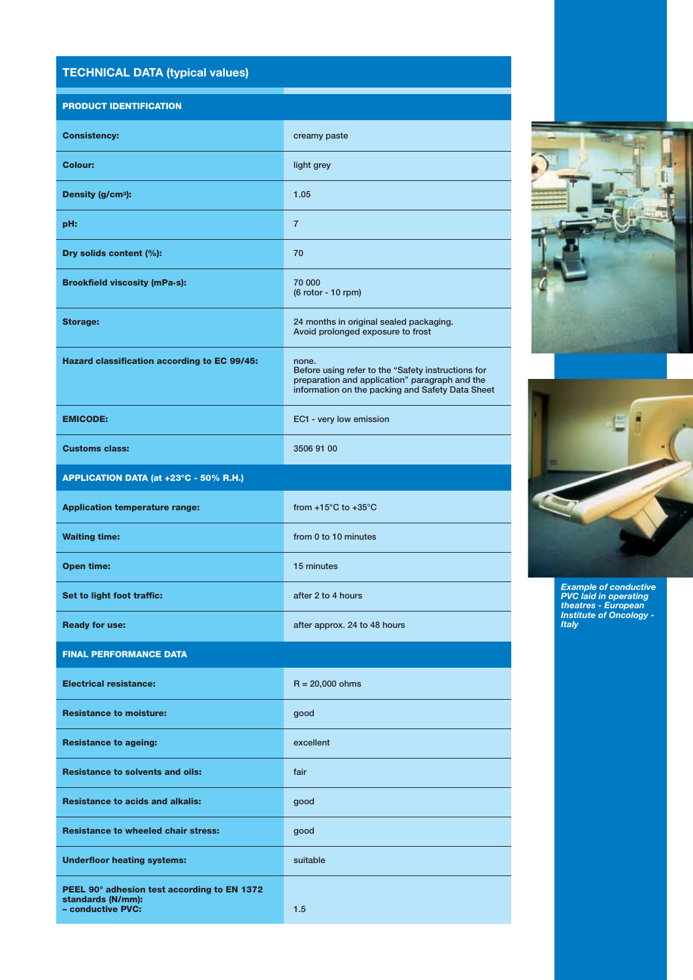# **TECHNICAL DATA (typical values)**

# **PRODUCT IDENTIFICATION**

| <b>Consistency:</b>                                                                   | creamy paste                                                                                                                                                      |
|---------------------------------------------------------------------------------------|-------------------------------------------------------------------------------------------------------------------------------------------------------------------|
| <b>Colour:</b>                                                                        | light grey                                                                                                                                                        |
| Density (g/cm <sup>3</sup> ):                                                         | 1.05                                                                                                                                                              |
| pH:                                                                                   | $\overline{7}$                                                                                                                                                    |
| Dry solids content (%):                                                               | 70                                                                                                                                                                |
| <b>Brookfield viscosity (mPa-s):</b>                                                  | 70 000<br>(6 rotor - 10 rpm)                                                                                                                                      |
| <b>Storage:</b>                                                                       | 24 months in original sealed packaging.<br>Avoid prolonged exposure to frost                                                                                      |
| Hazard classification according to EC 99/45:                                          | none.<br>Before using refer to the "Safety instructions for<br>preparation and application" paragraph and the<br>information on the packing and Safety Data Sheet |
| <b>EMICODE:</b>                                                                       | EC1 - very low emission                                                                                                                                           |
| <b>Customs class:</b>                                                                 | 3506 91 00                                                                                                                                                        |
| APPLICATION DATA (at +23°C - 50% R.H.)                                                |                                                                                                                                                                   |
| <b>Application temperature range:</b>                                                 | from $+15^{\circ}$ C to $+35^{\circ}$ C                                                                                                                           |
| <b>Waiting time:</b>                                                                  | from 0 to 10 minutes                                                                                                                                              |
| <b>Open time:</b>                                                                     | 15 minutes                                                                                                                                                        |
| Set to light foot traffic:                                                            | after 2 to 4 hours                                                                                                                                                |
| <b>Ready for use:</b>                                                                 | after approx. 24 to 48 hours                                                                                                                                      |
| <b>FINAL PERFORMANCE DATA</b>                                                         |                                                                                                                                                                   |
| <b>Electrical resistance:</b>                                                         | $R = 20,000 ohms$                                                                                                                                                 |
| <b>Resistance to moisture:</b>                                                        | good                                                                                                                                                              |
| <b>Resistance to ageing:</b>                                                          | excellent                                                                                                                                                         |
| <b>Resistance to solvents and oils:</b>                                               | fair                                                                                                                                                              |
| <b>Resistance to acids and alkalis:</b>                                               | good                                                                                                                                                              |
| <b>Resistance to wheeled chair stress:</b>                                            | good                                                                                                                                                              |
| <b>Underfloor heating systems:</b>                                                    | suitable                                                                                                                                                          |
| PEEL 90° adhesion test according to EN 1372<br>standards (N/mm):<br>- conductive PVC: | 1.5                                                                                                                                                               |
|                                                                                       |                                                                                                                                                                   |





*Example of conductive PVC laid in operating theatres - European Institute of Oncology - Italy*